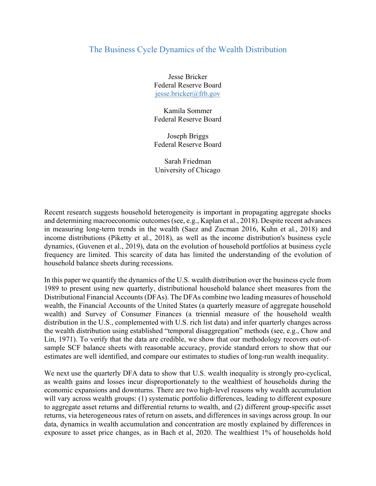## The Business Cycle Dynamics of the Wealth Distribution

Jesse Bricker Federal Reserve Board jesse.bricker@frb.gov

Kamila Sommer Federal Reserve Board

Joseph Briggs Federal Reserve Board

Sarah Friedman University of Chicago

Recent research suggests household heterogeneity is important in propagating aggregate shocks and determining macroeconomic outcomes (see, e.g., Kaplan et al., 2018). Despite recent advances in measuring long-term trends in the wealth (Saez and Zucman 2016, Kuhn et al., 2018) and income distributions (Piketty et al., 2018), as well as the income distribution's business cycle dynamics, (Guvenen et al., 2019), data on the evolution of household portfolios at business cycle frequency are limited. This scarcity of data has limited the understanding of the evolution of household balance sheets during recessions.

In this paper we quantify the dynamics of the U.S. wealth distribution over the business cycle from 1989 to present using new quarterly, distributional household balance sheet measures from the Distributional Financial Accounts (DFAs). The DFAs combine two leading measures of household wealth, the Financial Accounts of the United States (a quarterly measure of aggregate household wealth) and Survey of Consumer Finances (a triennial measure of the household wealth distribution in the U.S., complemented with U.S. rich list data) and infer quarterly changes across the wealth distribution using established "temporal disaggregation" methods (see, e.g., Chow and Lin, 1971). To verify that the data are credible, we show that our methodology recovers out-ofsample SCF balance sheets with reasonable accuracy, provide standard errors to show that our estimates are well identified, and compare our estimates to studies of long-run wealth inequality.

We next use the quarterly DFA data to show that U.S. wealth inequality is strongly pro-cyclical, as wealth gains and losses incur disproportionately to the wealthiest of households during the economic expansions and downturns. There are two high-level reasons why wealth accumulation will vary across wealth groups: (1) systematic portfolio differences, leading to different exposure to aggregate asset returns and differential returns to wealth, and (2) different group-specific asset returns, via heterogeneous rates of return on assets, and differences in savings across group. In our data, dynamics in wealth accumulation and concentration are mostly explained by differences in exposure to asset price changes, as in Bach et al, 2020. The wealthiest 1% of households hold